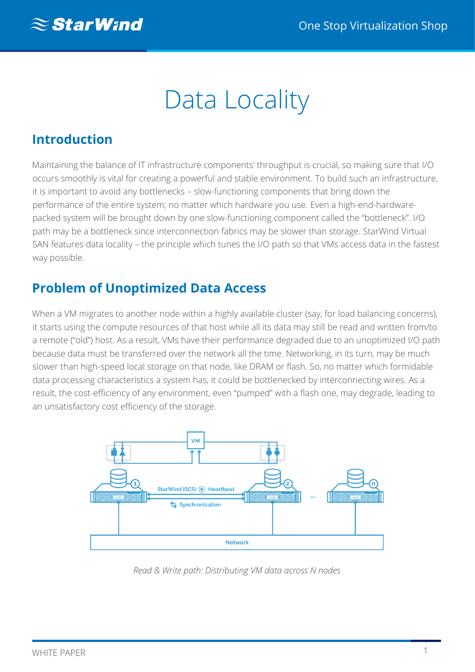# Data Locality

## **Introduction**

Maintaining the balance of IT infrastructure components' throughput is crucial, so making sure that I/O occurs smoothly is vital for creating a powerful and stable environment. To build such an infrastructure, it is important to avoid any bottlenecks – slow-functioning components that bring down the performance of the entire system; no matter which hardware you use. Even a high-end-hardwarepacked system will be brought down by one slow-functioning component called the "bottleneck". I/O path may be a bottleneck since interconnection fabrics may be slower than storage. StarWind Virtual SAN features data locality – the principle which tunes the I/O path so that VMs access data in the fastest way possible.

## **Problem of Unoptimized Data Access**

When a VM migrates to another node within a highly available cluster (say, for load balancing concerns), it starts using the compute resources of that host while all its data may still be read and written from/to a remote ("old") host. As a result, VMs have their performance degraded due to an unoptimized I/O path because data must be transferred over the network all the time. Networking, in its turn, may be much slower than high-speed local storage on that node, like DRAM or flash. So, no matter which formidable data processing characteristics a system has, it could be bottlenecked by interconnecting wires. As a result, the cost-efficiency of any environment, even "pumped" with a flash one, may degrade, leading to an unsatisfactory cost efficiency of the storage.



*Read & Write path: Distributing VM data across N nodes*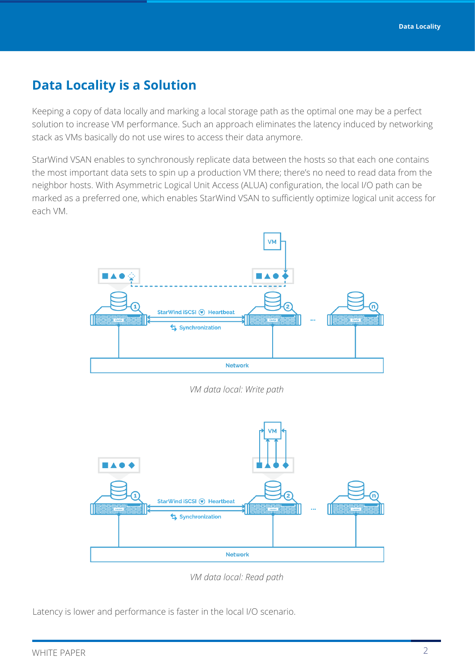#### **Data Locality is a Solution**

Keeping a copy of data locally and marking a local storage path as the optimal one may be a perfect solution to increase VM performance. Such an approach eliminates the latency induced by networking stack as VMs basically do not use wires to access their data anymore.

StarWind VSAN enables to synchronously replicate data between the hosts so that each one contains the most important data sets to spin up a production VM there; there's no need to read data from the neighbor hosts. With Asymmetric Logical Unit Access (ALUA) configuration, the local I/O path can be marked as a preferred one, which enables StarWind VSAN to sufficiently optimize logical unit access for each VM.



*VM data local: Write path*



*VM data local: Read path*

Latency is lower and performance is faster in the local I/O scenario.